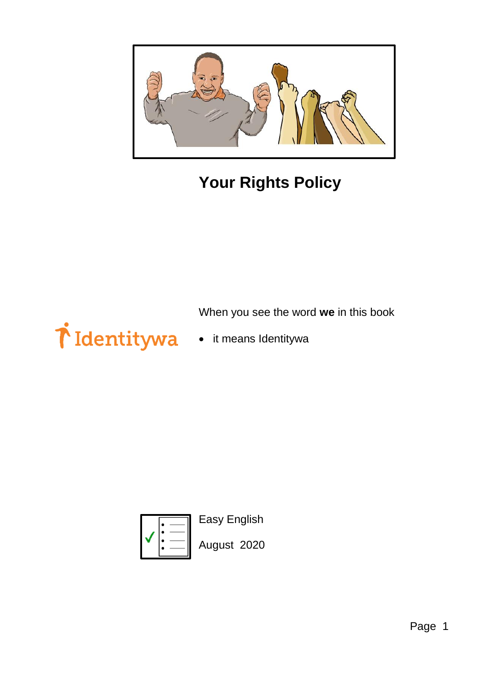

# **Your Rights Policy**



When you see the word **we** in this book

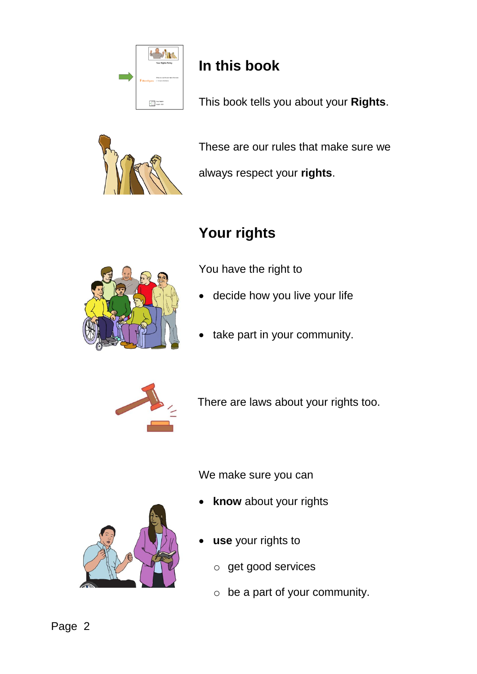

## **In this book**

This book tells you about your **Rights**.



These are our rules that make sure we always respect your **rights**.

# **Your rights**



You have the right to

- decide how you live your life
- take part in your community.



There are laws about your rights too.

We make sure you can

- **know** about your rights
- **use** your rights to
	- o get good services
	- $\circ$  be a part of your community.

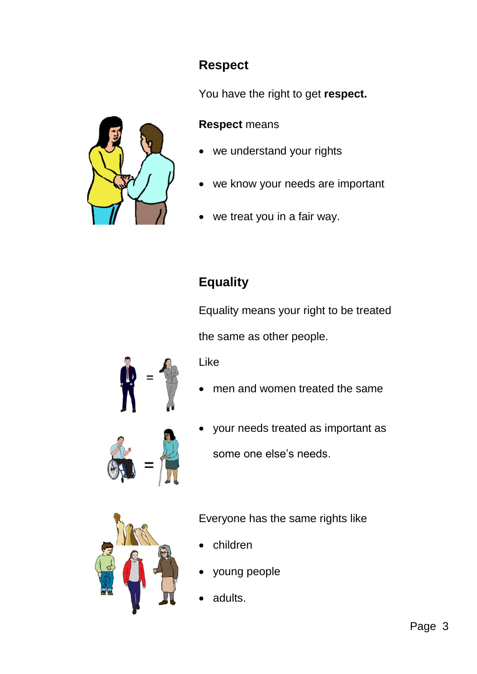### **Respect**

You have the right to get **respect.**

#### **Respect** means



- we know your needs are important
- we treat you in a fair way.

### **Equality**

Like

Equality means your right to be treated the same as other people.



men and women treated the same



 your needs treated as important as some one else's needs.



Everyone has the same rights like

- children
- young people
- adults.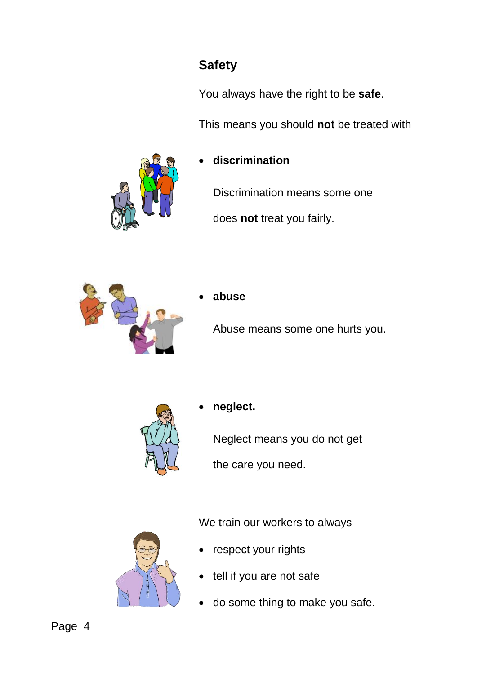### **Safety**

You always have the right to be **safe**.

This means you should **not** be treated with



**discrimination**

Discrimination means some one does **not** treat you fairly.



**abuse**

Abuse means some one hurts you.



**neglect.**

Neglect means you do not get

the care you need.

We train our workers to always

- respect your rights
- tell if you are not safe
- do some thing to make you safe.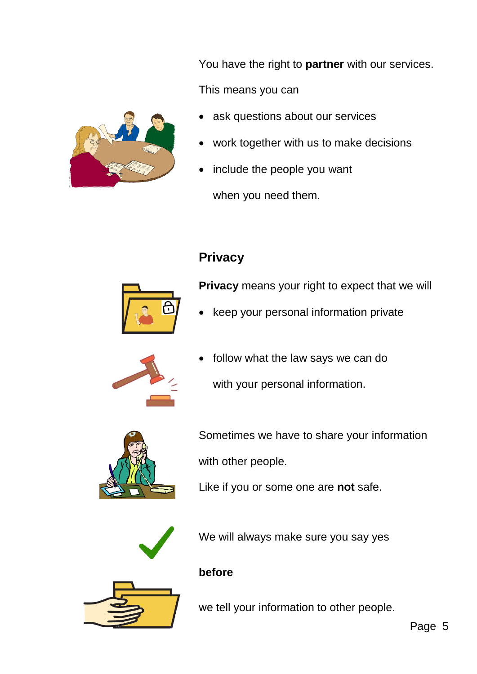You have the right to **partner** with our services.

This means you can



- ask questions about our services
- work together with us to make decisions
- include the people you want when you need them.

#### **Privacy**



**Privacy** means your right to expect that we will

keep your personal information private



 follow what the law says we can do with your personal information.



Sometimes we have to share your information with other people.

Like if you or some one are **not** safe.



We will always make sure you say yes

#### **before**



we tell your information to other people.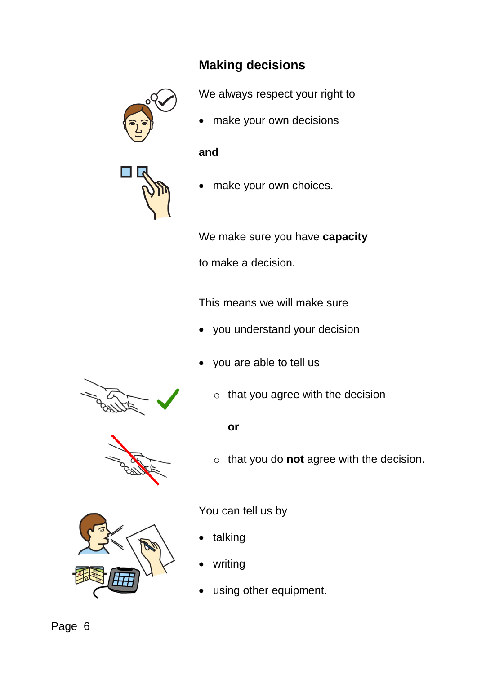### **Making decisions**



We always respect your right to

make your own decisions

**and**



make your own choices.

We make sure you have **capacity** to make a decision.

This means we will make sure

- you understand your decision
- you are able to tell us
	- $\circ$  that you agree with the decision

**or**

- - o that you do **not** agree with the decision.



You can tell us by

- talking
- writing
- using other equipment.



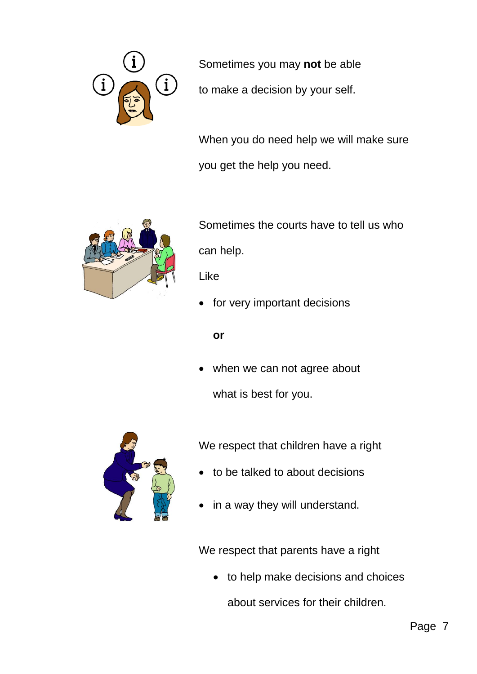

Sometimes you may **not** be able

to make a decision by your self.

When you do need help we will make sure you get the help you need.



Sometimes the courts have to tell us who can help.

Like

for very important decisions

**or**

• when we can not agree about what is best for you.



We respect that children have a right

- to be talked to about decisions
- in a way they will understand.

We respect that parents have a right

to help make decisions and choices

about services for their children.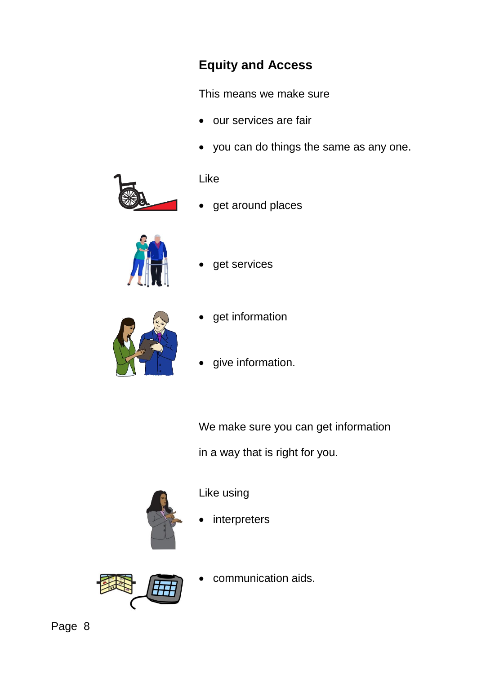### **Equity and Access**

This means we make sure

- our services are fair
- you can do things the same as any one.

#### Like

• get around places



get services



- get information
- give information.

We make sure you can get information

in a way that is right for you.



Like using

interpreters



communication aids.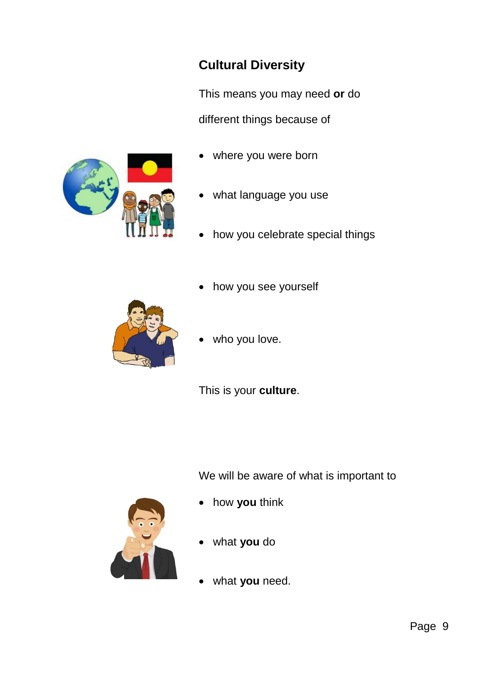### **Cultural Diversity**

This means you may need **or** do different things because of



- where you were born
- what language you use
- how you celebrate special things
- how you see yourself



who you love.

This is your **culture**.

We will be aware of what is important to



- how **you** think
- what **you** do
- what **you** need.